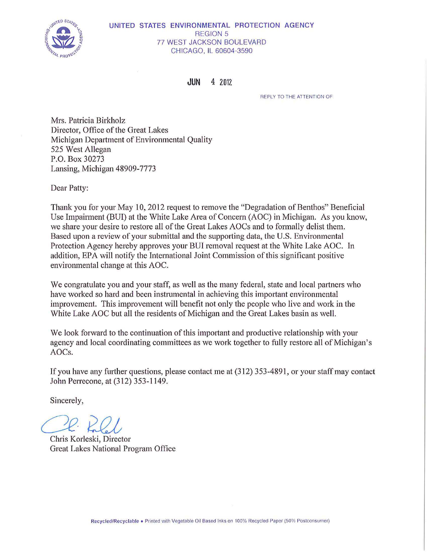

## UNITED STATES ENVIRONMENTAL PROTECTION AGENCY REGION 5 77 WEST JACKSON BOULEVARD CHICAGO, IL 60604-3590

**JUN** 4 2012

REPLY TO THE ATTENTION OF

Mrs. Patricia Birkholz Director, Office of the Great Lakes Michigan Department of Enviromnental Quality 525 West Allegan P.O. Box 30273 Lansing, Michigan 48909-7773

Dear Patty:

Thank you for your May 10, 2012 request to remove the "Degradation of Benthos" Beneficial Use Impairment (BUI) at the White Lake Area of Concern (AOC) in Michigan. As you know, we share your desire to restore all of the Great Lakes AOCs and to formally delist them. Based upon a review of your submittal and the supporting data, the U.S. Environmental Protection Agency hereby approves your BUI removal request at the White Lake AOC. In addition, EPA will notify the International Joint Commission of this significant positive environmental change at this AOC.

We congratulate you and your staff, as well as the many federal, state and local partners who have worked so hard and been instrumental in achieving this important environmental improvement. This improvement will benefit not only the people who live and work in the White Lake AOC but all the residents of Michigan and the Great Lakes basin as well.

We look forward to the continuation of this important and productive relationship with your agency and local coordinating committees as we work together to fully restore all of Michigan's AOCs.

If you have any further questions, please contact me at (312) 353-4891, or your staff may contact John Perrecone, at (312) 353-1149.

Sincerely,

Chris Korleski, Director

Great Lakes National Program Office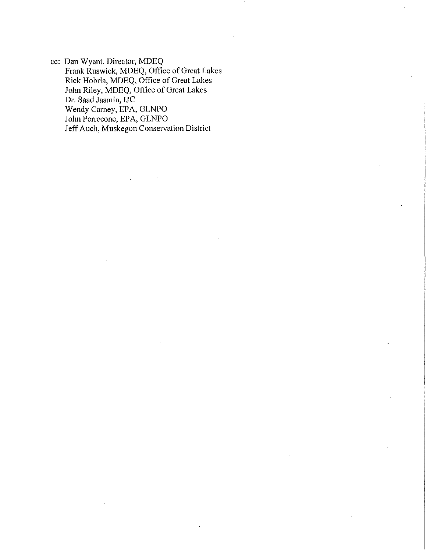cc: Dan Wyant, Director, MDEQ Frank Ruswick, MDEQ, Office of Great Lakes Rick Hobrla, MDEQ, Office of Great Lakes John Riley, MDEQ, Office of Great Lakes Dr. Saad Jasmin, IJC Wendy Carney, EPA, GLNPO John Perrecone, EPA, GLNPO Jeff Auch, Muskegon Conservation District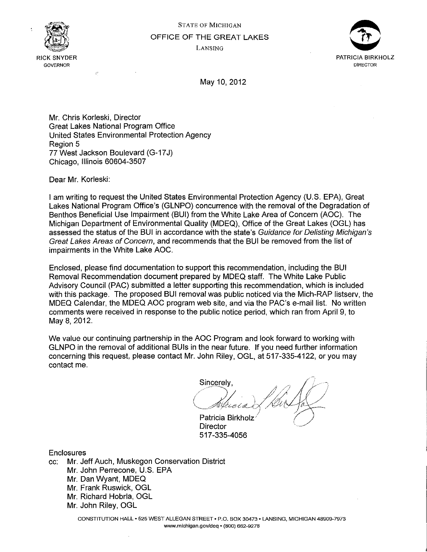

# STATE OF MICHIGAN OFFICE OF THE GREAT LAKES LANSING



May 10, 2012

Mr. Chris Korleski, Director Great Lakes National Program Office United States Environmental Protection Agency Region 5 77 West Jackson Boulevard (G-17J) Chicago, Illinois 60604-3507

Dear Mr. Korleski:

I am writing to request the United States Environmental Protection Agency (U.S. EPA), Great Lakes National Program Office's (GLNPO) concurrence with the removal of the Degradation of Benthos Beneficial Use Impairment (BUI) from the White Lake Area of Concern (AOC). The Michigan Department of Environmental Quality (MDEQ), Office of the Great Lakes (OGL) has assessed the status of the BUI in accordance with the state's Guidance for Delisting Michigan's Great Lakes Areas of Concern, and recommends that the BUI be removed from the list of impairments in the White Lake AOC.

Enclosed, please find documentation to support this recommendation, including the BUI Removal Recommendation document prepared by MDEQ staff. The White Lake Public Advisory Council (PAC) submitted a letter supporting this recommendation, which is included with this package. The proposed BUI removal was public noticed via the Mich-RAP listsery, the MDEQ Calendar, the MDEQ AOC program web site, and via the PAC's e-mail list. No written comments were received in response to the public notice period, which ran from April 9, to May 8, 2012.

We value our continuing partnership in the AOC Program and look forward to working with GLNPO in the removal of additional BUis in the near future. If you need further information concerning this request, please contact Mr. John Riley, OGL, at 517-335-4122, or you may contact me.

Sincerely,  $\sqrt{2}$  $\frac{\sin\alpha}{\sin\alpha}$ ,  $\frac{1}{2}$  ,  $\frac{1}{2}$  ,  $\frac{1}{2}$ Chroia & Kur  $/$ 

Patricia Birkholz Director 517-335-4056

Enclosures

cc: Mr. Jeff Auch, Muskegon Conservation District Mr. John Perrecone, U.S. EPA Mr. Dan Wyant, MDEQ Mr. Frank Ruswick, OGL Mr. Richard Hobrla, OGL Mr. John Riley, OGL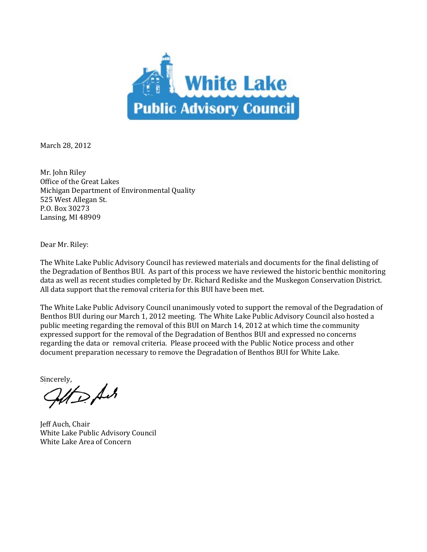

March 28, 2012

Mr. John Riley Office of the Great Lakes Michigan Department of Environmental Quality 525 West Allegan St. P.O. Box 30273 Lansing, MI 48909

Dear Mr. Riley:

The White Lake Public Advisory Council has reviewed materials and documents for the final delisting of the Degradation of Benthos BUI. As part of this process we have reviewed the historic benthic monitoring data as well as recent studies completed by Dr. Richard Rediske and the Muskegon Conservation District. All data support that the removal criteria for this BUI have been met.

The White Lake Public Advisory Council unanimously voted to support the removal of the Degradation of Benthos BUI during our March 1, 2012 meeting. The White Lake Public Advisory Council also hosted a public meeting regarding the removal of this BUI on March 14, 2012 at which time the community expressed support for the removal of the Degradation of Benthos BUI and expressed no concerns regarding the data or removal criteria. Please proceed with the Public Notice process and other document preparation necessary to remove the Degradation of Benthos BUI for White Lake.

Sincerely,<br>*Gift* D. Ach

Jeff Auch, Chair White Lake Public Advisory Council White Lake Area of Concern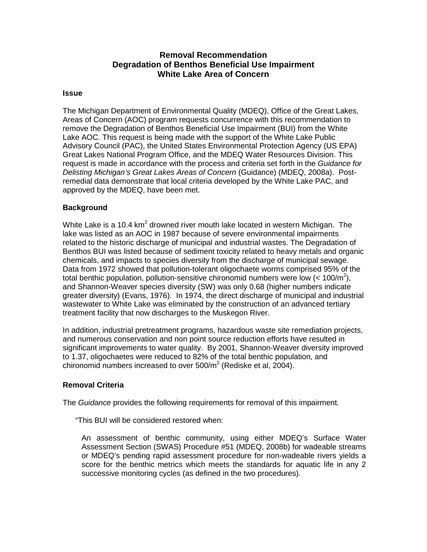# **Removal Recommendation Degradation of Benthos Beneficial Use Impairment White Lake Area of Concern**

## **Issue**

The Michigan Department of Environmental Quality (MDEQ), Office of the Great Lakes, Areas of Concern (AOC) program requests concurrence with this recommendation to remove the Degradation of Benthos Beneficial Use Impairment (BUI) from the White Lake AOC. This request is being made with the support of the White Lake Public Advisory Council (PAC), the United States Environmental Protection Agency (US EPA) Great Lakes National Program Office, and the MDEQ Water Resources Division. This request is made in accordance with the process and criteria set forth in the Guidance for Delisting Michigan's Great Lakes Areas of Concern (Guidance) (MDEQ, 2008a). Postremedial data demonstrate that local criteria developed by the White Lake PAC, and approved by the MDEQ, have been met.

# **Background**

White Lake is a 10.4 km<sup>2</sup> drowned river mouth lake located in western Michigan. The lake was listed as an AOC in 1987 because of severe environmental impairments related to the historic discharge of municipal and industrial wastes. The Degradation of Benthos BUI was listed because of sediment toxicity related to heavy metals and organic chemicals, and impacts to species diversity from the discharge of municipal sewage. Data from 1972 showed that pollution-tolerant oligochaete worms comprised 95% of the total benthic population, pollution-sensitive chironomid numbers were low  $(< 100/m^2$ ), and Shannon-Weaver species diversity (SW) was only 0.68 (higher numbers indicate greater diversity) (Evans, 1976). In 1974, the direct discharge of municipal and industrial wastewater to White Lake was eliminated by the construction of an advanced tertiary treatment facility that now discharges to the Muskegon River.

In addition, industrial pretreatment programs, hazardous waste site remediation projects, and numerous conservation and non point source reduction efforts have resulted in significant improvements to water quality. By 2001, Shannon-Weaver diversity improved to 1.37, oligochaetes were reduced to 82% of the total benthic population, and chironomid numbers increased to over 500/m<sup>2</sup> (Rediske et al, 2004).

# **Removal Criteria**

The Guidance provides the following requirements for removal of this impairment.

"This BUI will be considered restored when:

An assessment of benthic community, using either MDEQ's Surface Water Assessment Section (SWAS) Procedure #51 (MDEQ, 2008b) for wadeable streams or MDEQ's pending rapid assessment procedure for non-wadeable rivers yields a score for the benthic metrics which meets the standards for aquatic life in any 2 successive monitoring cycles (as defined in the two procedures).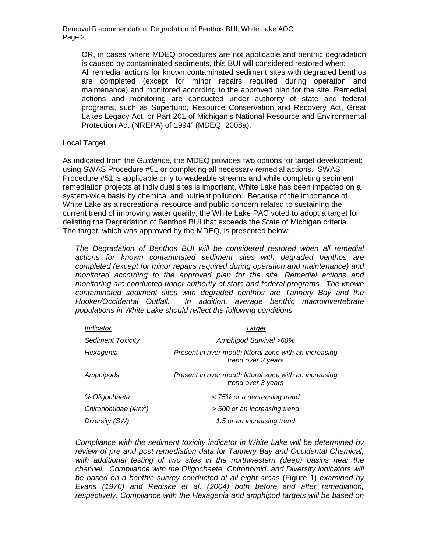OR, in cases where MDEQ procedures are not applicable and benthic degradation is caused by contaminated sediments, this BUI will considered restored when:

All remedial actions for known contaminated sediment sites with degraded benthos are completed (except for minor repairs required during operation and maintenance) and monitored according to the approved plan for the site. Remedial actions and monitoring are conducted under authority of state and federal programs, such as Superfund, Resource Conservation and Recovery Act, Great Lakes Legacy Act, or Part 201 of Michigan's National Resource and Environmental Protection Act (NREPA) of 1994" (MDEQ, 2008a).

## Local Target

As indicated from the Guidance, the MDEQ provides two options for target development: using SWAS Procedure #51 or completing all necessary remedial actions. SWAS Procedure #51 is applicable only to wadeable streams and while completing sediment remediation projects at individual sites is important, White Lake has been impacted on a system-wide basis by chemical and nutrient pollution. Because of the importance of White Lake as a recreational resource and public concern related to sustaining the current trend of improving water quality, the White Lake PAC voted to adopt a target for delisting the Degradation of Benthos BUI that exceeds the State of Michigan criteria. The target, which was approved by the MDEQ, is presented below:

The Degradation of Benthos BUI will be considered restored when all remedial actions for known contaminated sediment sites with degraded benthos are completed (except for minor repairs required during operation and maintenance) and monitored according to the approved plan for the site. Remedial actions and monitoring are conducted under authority of state and federal programs. The known contaminated sediment sites with degraded benthos are Tannery Bay and the Hooker/Occidental Outfall. In addition, average benthic macroinvertebrate populations in White Lake should reflect the following conditions:

| Indicator                             | Target                                                                        |
|---------------------------------------|-------------------------------------------------------------------------------|
| <b>Sediment Toxicity</b>              | Amphipod Survival >60%                                                        |
| Hexagenia                             | Present in river mouth littoral zone with an increasing<br>trend over 3 years |
| Amphipods                             | Present in river mouth littoral zone with an increasing<br>trend over 3 years |
| % Oligochaeta                         | < 75% or a decreasing trend                                                   |
| Chironomidae $(\text{\#}/\text{m}^2)$ | > 500 or an increasing trend                                                  |
| Diversity (SW)                        | 1.5 or an increasing trend                                                    |

Compliance with the sediment toxicity indicator in White Lake will be determined by review of pre and post remediation data for Tannery Bay and Occidental Chemical, with additional testing of two sites in the northwestern (deep) basins near the channel. Compliance with the Oligochaete, Chironomid, and Diversity indicators will be based on a benthic survey conducted at all eight areas (Figure 1) examined by Evans (1976) and Rediske et al. (2004) both before and after remediation, respectively. Compliance with the Hexagenia and amphipod targets will be based on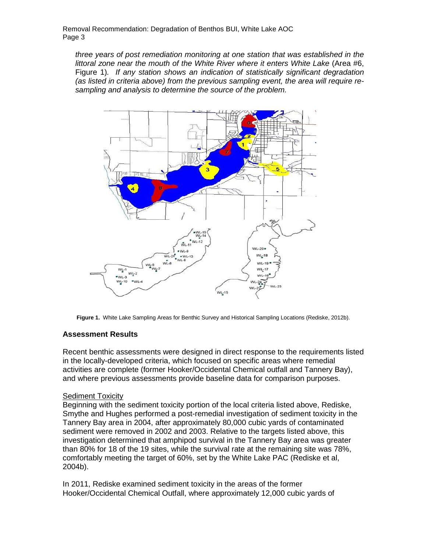three years of post remediation monitoring at one station that was established in the littoral zone near the mouth of the White River where it enters White Lake (Area #6, Figure 1). If any station shows an indication of statistically significant degradation (as listed in criteria above) from the previous sampling event, the area will require resampling and analysis to determine the source of the problem.



**Figure 1.** White Lake Sampling Areas for Benthic Survey and Historical Sampling Locations (Rediske, 2012b).

## **Assessment Results**

Recent benthic assessments were designed in direct response to the requirements listed in the locally-developed criteria, which focused on specific areas where remedial activities are complete (former Hooker/Occidental Chemical outfall and Tannery Bay), and where previous assessments provide baseline data for comparison purposes.

## Sediment Toxicity

Beginning with the sediment toxicity portion of the local criteria listed above, Rediske, Smythe and Hughes performed a post-remedial investigation of sediment toxicity in the Tannery Bay area in 2004, after approximately 80,000 cubic yards of contaminated sediment were removed in 2002 and 2003. Relative to the targets listed above, this investigation determined that amphipod survival in the Tannery Bay area was greater than 80% for 18 of the 19 sites, while the survival rate at the remaining site was 78%, comfortably meeting the target of 60%, set by the White Lake PAC (Rediske et al, 2004b).

In 2011, Rediske examined sediment toxicity in the areas of the former Hooker/Occidental Chemical Outfall, where approximately 12,000 cubic yards of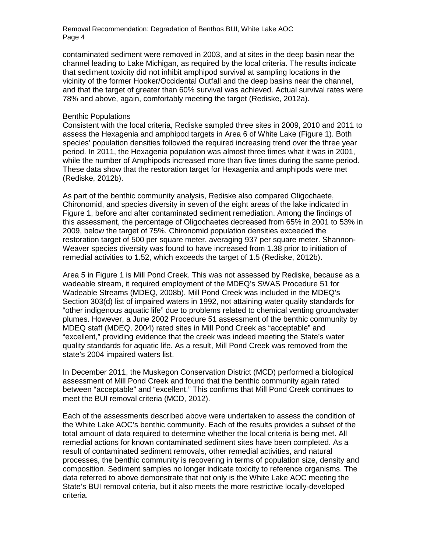contaminated sediment were removed in 2003, and at sites in the deep basin near the channel leading to Lake Michigan, as required by the local criteria. The results indicate that sediment toxicity did not inhibit amphipod survival at sampling locations in the vicinity of the former Hooker/Occidental Outfall and the deep basins near the channel, and that the target of greater than 60% survival was achieved. Actual survival rates were 78% and above, again, comfortably meeting the target (Rediske, 2012a).

#### Benthic Populations

Consistent with the local criteria, Rediske sampled three sites in 2009, 2010 and 2011 to assess the Hexagenia and amphipod targets in Area 6 of White Lake (Figure 1). Both species' population densities followed the required increasing trend over the three year period. In 2011, the Hexagenia population was almost three times what it was in 2001, while the number of Amphipods increased more than five times during the same period. These data show that the restoration target for Hexagenia and amphipods were met (Rediske, 2012b).

As part of the benthic community analysis, Rediske also compared Oligochaete, Chironomid, and species diversity in seven of the eight areas of the lake indicated in Figure 1, before and after contaminated sediment remediation. Among the findings of this assessment, the percentage of Oligochaetes decreased from 65% in 2001 to 53% in 2009, below the target of 75%. Chironomid population densities exceeded the restoration target of 500 per square meter, averaging 937 per square meter. Shannon-Weaver species diversity was found to have increased from 1.38 prior to initiation of remedial activities to 1.52, which exceeds the target of 1.5 (Rediske, 2012b).

Area 5 in Figure 1 is Mill Pond Creek. This was not assessed by Rediske, because as a wadeable stream, it required employment of the MDEQ's SWAS Procedure 51 for Wadeable Streams (MDEQ, 2008b). Mill Pond Creek was included in the MDEQ's Section 303(d) list of impaired waters in 1992, not attaining water quality standards for "other indigenous aquatic life" due to problems related to chemical venting groundwater plumes. However, a June 2002 Procedure 51 assessment of the benthic community by MDEQ staff (MDEQ, 2004) rated sites in Mill Pond Creek as "acceptable" and "excellent," providing evidence that the creek was indeed meeting the State's water quality standards for aquatic life. As a result, Mill Pond Creek was removed from the state's 2004 impaired waters list.

In December 2011, the Muskegon Conservation District (MCD) performed a biological assessment of Mill Pond Creek and found that the benthic community again rated between "acceptable" and "excellent." This confirms that Mill Pond Creek continues to meet the BUI removal criteria (MCD, 2012).

Each of the assessments described above were undertaken to assess the condition of the White Lake AOC's benthic community. Each of the results provides a subset of the total amount of data required to determine whether the local criteria is being met. All remedial actions for known contaminated sediment sites have been completed. As a result of contaminated sediment removals, other remedial activities, and natural processes, the benthic community is recovering in terms of population size, density and composition. Sediment samples no longer indicate toxicity to reference organisms. The data referred to above demonstrate that not only is the White Lake AOC meeting the State's BUI removal criteria, but it also meets the more restrictive locally-developed criteria.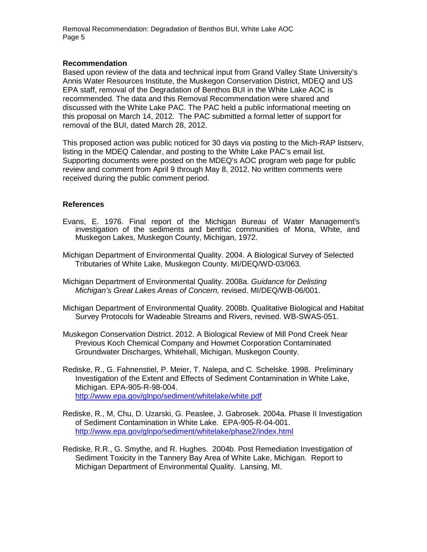## **Recommendation**

Based upon review of the data and technical input from Grand Valley State University's Annis Water Resources Institute, the Muskegon Conservation District, MDEQ and US EPA staff, removal of the Degradation of Benthos BUI in the White Lake AOC is recommended. The data and this Removal Recommendation were shared and discussed with the White Lake PAC. The PAC held a public informational meeting on this proposal on March 14, 2012. The PAC submitted a formal letter of support for removal of the BUI, dated March 28, 2012.

This proposed action was public noticed for 30 days via posting to the Mich-RAP listserv, listing in the MDEQ Calendar, and posting to the White Lake PAC's email list. Supporting documents were posted on the MDEQ's AOC program web page for public review and comment from April 9 through May 8, 2012. No written comments were received during the public comment period.

# **References**

- Evans, E. 1976. Final report of the Michigan Bureau of Water Management's investigation of the sediments and benthic communities of Mona, White, and Muskegon Lakes, Muskegon County, Michigan, 1972.
- Michigan Department of Environmental Quality. 2004. A Biological Survey of Selected Tributaries of White Lake, Muskegon County. MI/DEQ/WD-03/063.
- Michigan Department of Environmental Quality. 2008a. Guidance for Delisting Michigan's Great Lakes Areas of Concern, revised. MI/DEQ/WB-06/001.
- Michigan Department of Environmental Quality. 2008b. Qualitative Biological and Habitat Survey Protocols for Wadeable Streams and Rivers, revised. WB-SWAS-051.
- Muskegon Conservation District. 2012. A Biological Review of Mill Pond Creek Near Previous Koch Chemical Company and Howmet Corporation Contaminated Groundwater Discharges, Whitehall, Michigan, Muskegon County.
- Rediske, R., G. Fahnenstiel, P. Meier, T. Nalepa, and C. Schelske. 1998. Preliminary Investigation of the Extent and Effects of Sediment Contamination in White Lake, Michigan. EPA-905-R-98-004. http://www.epa.gov/glnpo/sediment/whitelake/white.pdf
- Rediske, R., M, Chu, D. Uzarski, G. Peaslee, J. Gabrosek. 2004a. Phase II Investigation of Sediment Contamination in White Lake. EPA-905-R-04-001. http://www.epa.gov/glnpo/sediment/whitelake/phase2/index.html
- Rediske, R.R., G. Smythe, and R. Hughes. 2004b. Post Remediation Investigation of Sediment Toxicity in the Tannery Bay Area of White Lake, Michigan. Report to Michigan Department of Environmental Quality. Lansing, MI.